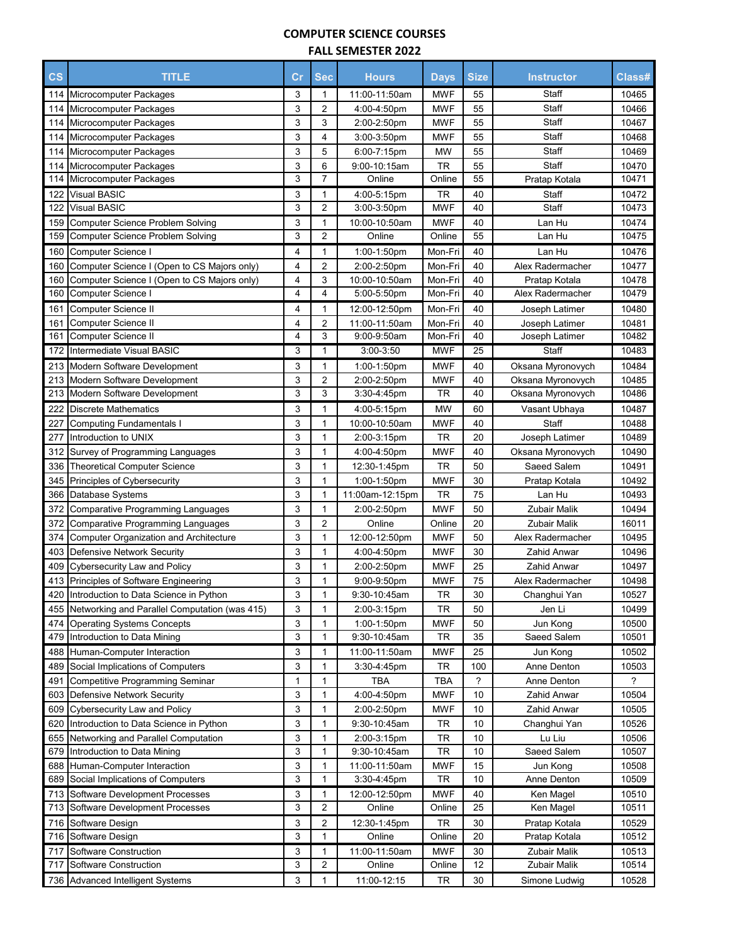## **COMPUTER SCIENCE COURSES**

| <b>FALL SEMESTER 2022</b> |  |
|---------------------------|--|
|---------------------------|--|

| $\csc$     | <b>TITLE</b>                                                   | $\mathsf{Cr}$ | <b>Sec</b>              | <b>Hours</b>                 | <b>Days</b>      | <b>Size</b> | <b>Instructor</b>       | Class#         |
|------------|----------------------------------------------------------------|---------------|-------------------------|------------------------------|------------------|-------------|-------------------------|----------------|
| 114        | Microcomputer Packages                                         | 3             | 1                       | 11:00-11:50am                | <b>MWF</b>       | 55          | Staff                   | 10465          |
| 114        | Microcomputer Packages                                         | 3             | $\overline{2}$          | 4:00-4:50pm                  | <b>MWF</b>       | 55          | Staff                   | 10466          |
| 114        | Microcomputer Packages                                         | 3             | 3                       | 2:00-2:50pm                  | <b>MWF</b>       | 55          | Staff                   | 10467          |
| 114        | Microcomputer Packages                                         | 3             | 4                       | $3:00 - 3:50$ pm             | <b>MWF</b>       | 55          | Staff                   | 10468          |
| 114        | Microcomputer Packages                                         | 3             | 5                       | 6:00-7:15pm                  | MW               | 55          | Staff                   | 10469          |
| 114        | Microcomputer Packages                                         | 3             | 6                       | 9:00-10:15am                 | TR               | 55          | Staff                   | 10470          |
| 114        | Microcomputer Packages                                         | 3             | $\overline{7}$          | Online                       | Online           | 55          | Pratap Kotala           | 10471          |
| 122        | <b>Visual BASIC</b>                                            | 3             | 1                       | 4:00-5:15pm                  | TR               | 40          | Staff                   | 10472          |
| 122        | <b>Visual BASIC</b>                                            | 3             | $\overline{2}$          | 3:00-3:50pm                  | <b>MWF</b>       | 40          | Staff                   | 10473          |
| 159        | <b>Computer Science Problem Solving</b>                        | 3             | 1                       | 10:00-10:50am                | <b>MWF</b>       | 40          | Lan Hu                  | 10474          |
| 159        | <b>Computer Science Problem Solving</b>                        | 3             | $\overline{2}$          | Online                       | Online           | 55          | Lan Hu                  | 10475          |
| 160        | Computer Science I                                             | 4             | 1                       | 1:00-1:50pm                  | Mon-Fri          | 40          | Lan Hu                  | 10476          |
| 160        | Computer Science I (Open to CS Majors only)                    | 4             | $\overline{2}$          | 2:00-2:50pm                  | Mon-Fri          | 40          | Alex Radermacher        | 10477          |
| 160        | Computer Science I (Open to CS Majors only)                    | 4             | 3                       | 10:00-10:50am                | Mon-Fri          | 40          | Pratap Kotala           | 10478          |
| 160        | Computer Science I                                             | 4             | 4                       | 5:00-5:50pm                  | Mon-Fri          | 40          | Alex Radermacher        | 10479          |
| 161        | Computer Science II                                            | 4             | 1                       | 12:00-12:50pm                | Mon-Fri          | 40          | Joseph Latimer          | 10480          |
| 161        | Computer Science II                                            | 4             | $\overline{2}$          | 11:00-11:50am                | Mon-Fri          | 40          | Joseph Latimer          | 10481          |
| 161        | Computer Science II                                            | 4             | 3                       | 9:00-9:50am                  | Mon-Fri          | 40          | Joseph Latimer          | 10482          |
| 172        | Intermediate Visual BASIC                                      | 3             | 1                       | $3:00 - 3:50$                | MWF              | 25          | Staff                   | 10483          |
| 213        | <b>Modern Software Development</b>                             | 3             | 1                       | 1:00-1:50pm                  | <b>MWF</b>       | 40          | Oksana Myronovych       | 10484          |
| 213        | Modern Software Development                                    | 3             | 2                       | 2:00-2:50pm                  | <b>MWF</b>       | 40          | Oksana Myronovych       | 10485          |
| 213        | Modern Software Development                                    | 3             | 3                       | 3:30-4:45pm                  | TR               | 40          | Oksana Myronovych       | 10486          |
| 222        | <b>Discrete Mathematics</b>                                    | 3             | 1                       | 4:00-5:15pm                  | <b>MW</b>        | 60          | Vasant Ubhaya           | 10487          |
| 227        | <b>Computing Fundamentals I</b>                                | 3             | 1                       | 10:00-10:50am                | <b>MWF</b>       | 40          | Staff                   | 10488          |
| 277        | Introduction to UNIX                                           | 3             | 1                       | 2:00-3:15pm                  | TR               | 20          | Joseph Latimer          | 10489          |
| 312        | Survey of Programming Languages                                | 3             | 1                       | 4:00-4:50pm                  | <b>MWF</b>       | 40          | Oksana Myronovych       | 10490          |
| 336        | <b>Theoretical Computer Science</b>                            | 3             | 1                       | 12:30-1:45pm                 | TR               | 50          | Saeed Salem             | 10491          |
| 345        | Principles of Cybersecurity                                    | 3             | 1                       | 1:00-1:50pm                  | <b>MWF</b>       | 30          | Pratap Kotala           | 10492          |
| 366        | Database Systems                                               | 3             | 1                       | 11:00am-12:15pm              | TR               | 75          | Lan Hu                  | 10493          |
| 372        | <b>Comparative Programming Languages</b>                       | 3             | 1                       | 2:00-2:50pm                  | <b>MWF</b>       | 50          | Zubair Malik            | 10494          |
| 372        | <b>Comparative Programming Languages</b>                       | 3             | $\overline{2}$          | Online                       | Online           | 20          | Zubair Malik            | 16011          |
| 374        | <b>Computer Organization and Architecture</b>                  | 3             | 1                       | 12:00-12:50pm                | <b>MWF</b>       | 50          | Alex Radermacher        | 10495          |
| 403        | <b>Defensive Network Security</b>                              | 3             | 1                       | 4:00-4:50pm                  | <b>MWF</b>       | 30          | Zahid Anwar             | 10496          |
| 409        | Cybersecurity Law and Policy                                   | 3             | 1                       | 2:00-2:50pm                  | <b>MWF</b>       | 25          | Zahid Anwar             | 10497          |
| 413        | Principles of Software Engineering                             | 3             | 1                       | 9:00-9:50pm                  | <b>MWF</b>       | 75          | Alex Radermacher        | 10498          |
| 420        | Introduction to Data Science in Python                         | 3             | 1                       | 9:30-10:45am                 | <b>TR</b>        | 30          | Changhui Yan            | 10527          |
| 455        | Networking and Parallel Computation (was 415)                  | 3             | 1                       | 2:00-3:15pm                  | TR               | 50          | Jen Li                  | 10499          |
| 474        | <b>Operating Systems Concepts</b>                              | 3             | 1                       | 1:00-1:50pm                  | <b>MWF</b>       | 50          | Jun Kong                | 10500          |
| 479        | Introduction to Data Mining                                    | 3             | 1                       | 9:30-10:45am                 | TR               | 35          | Saeed Salem             | 10501          |
| 488        | Human-Computer Interaction                                     | 3             | 1                       | 11:00-11:50am                | <b>MWF</b>       | 25          | Jun Kong                | 10502          |
| 489        | Social Implications of Computers                               | 3             | 1                       | 3:30-4:45pm                  | TR               | 100         | Anne Denton             | 10503          |
| 491        | Competitive Programming Seminar                                | 1             | 1                       | <b>TBA</b>                   | TBA              | ?           | Anne Denton             | ?              |
| 603        | Defensive Network Security                                     | 3             | 1                       | 4:00-4:50pm                  | <b>MWF</b>       | 10          | Zahid Anwar             | 10504          |
| 609        | Cybersecurity Law and Policy                                   | 3             | 1                       | 2:00-2:50pm                  | <b>MWF</b>       | 10          | Zahid Anwar             | 10505          |
| 620        | Introduction to Data Science in Python                         | 3             | 1                       | 9:30-10:45am                 | TR               | 10          | Changhui Yan            | 10526          |
| 655        | Networking and Parallel Computation                            | 3             | 1                       | 2:00-3:15pm                  | TR               | 10          | Lu Liu                  | 10506          |
| 679        | Introduction to Data Mining                                    | 3             | 1                       | 9:30-10:45am                 | <b>TR</b>        | 10          | Saeed Salem             | 10507          |
| 688<br>689 | Human-Computer Interaction<br>Social Implications of Computers | 3<br>3        | 1<br>1                  | 11:00-11:50am<br>3:30-4:45pm | <b>MWF</b><br>TR | 15<br>10    | Jun Kong<br>Anne Denton | 10508<br>10509 |
|            | Software Development Processes                                 | 3             | 1                       | 12:00-12:50pm                | <b>MWF</b>       |             |                         | 10510          |
| 713<br>713 | Software Development Processes                                 | 3             | $\overline{\mathbf{c}}$ | Online                       | Online           | 40<br>25    | Ken Magel<br>Ken Magel  | 10511          |
| 716        | Software Design                                                | 3             | 2                       | 12:30-1:45pm                 | TR               | 30          | Pratap Kotala           | 10529          |
| 716        | Software Design                                                | 3             | 1                       | Online                       | Online           | 20          | Pratap Kotala           | 10512          |
| 717        | Software Construction                                          | 3             | 1                       | 11:00-11:50am                | <b>MWF</b>       | 30          | Zubair Malik            | 10513          |
| 717        | Software Construction                                          | 3             | $\overline{\mathbf{c}}$ | Online                       | Online           | 12          | Zubair Malik            | 10514          |
|            | 736 Advanced Intelligent Systems                               | 3             | 1                       | 11:00-12:15                  | TR               | 30          | Simone Ludwig           | 10528          |